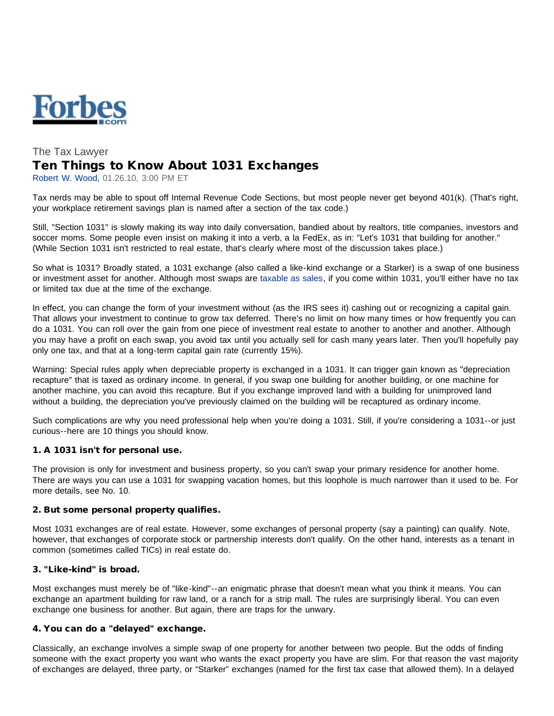

# The Tax Lawyer Ten Things to Know About 1031 Exchanges

Robert W. Wood, 01.26.10, 3:00 PM ET

Tax nerds may be able to spout off Internal Revenue Code Sections, but most people never get beyond 401(k). (That's right, your workplace retirement savings plan is named after a section of the tax code.)

Still, "Section 1031" is slowly making its way into daily conversation, bandied about by realtors, title companies, investors and soccer moms. Some people even insist on making it into a verb, a la FedEx, as in: "Let's 1031 that building for another." (While Section 1031 isn't restricted to real estate, that's clearly where most of the discussion takes place.)

So what is 1031? Broadly stated, a 1031 exchange (also called a like-kind exchange or a Starker) is a swap of one business or investment asset for another. Although most swaps are [taxable as sales,](http://www.forbes.com/2009/11/11/irs-tax-barter-exchange-income-personal-finance-wood.html) if you come within 1031, you'll either have no tax or limited tax due at the time of the exchange.

In effect, you can change the form of your investment without (as the IRS sees it) cashing out or recognizing a capital gain. That allows your investment to continue to grow tax deferred. There's no limit on how many times or how frequently you can do a 1031. You can roll over the gain from one piece of investment real estate to another to another and another. Although you may have a profit on each swap, you avoid tax until you actually sell for cash many years later. Then you'll hopefully pay only one tax, and that at a long-term capital gain rate (currently 15%).

Warning: Special rules apply when depreciable property is exchanged in a 1031. It can trigger gain known as "depreciation recapture" that is taxed as ordinary income. In general, if you swap one building for another building, or one machine for another machine, you can avoid this recapture. But if you exchange improved land with a building for unimproved land without a building, the depreciation you've previously claimed on the building will be recaptured as ordinary income.

Such complications are why you need professional help when you're doing a 1031. Still, if you're considering a 1031--or just curious--here are 10 things you should know.

# 1. A 1031 isn't for personal use.

The provision is only for investment and business property, so you can't swap your primary residence for another home. There are ways you can use a 1031 for swapping vacation homes, but this loophole is much narrower than it used to be. For more details, see No. 10.

#### 2. But some personal property qualifies.

Most 1031 exchanges are of real estate. However, some exchanges of personal property (say a painting) can qualify. Note, however, that exchanges of corporate stock or partnership interests don't qualify. On the other hand, interests as a tenant in common (sometimes called TICs) in real estate do.

## 3. "Like-kind" is broad.

Most exchanges must merely be of "like-kind"--an enigmatic phrase that doesn't mean what you think it means. You can exchange an apartment building for raw land, or a ranch for a strip mall. The rules are surprisingly liberal. You can even exchange one business for another. But again, there are traps for the unwary.

#### 4. You can do a "delayed" exchange.

Classically, an exchange involves a simple swap of one property for another between two people. But the odds of finding someone with the exact property you want who wants the exact property you have are slim. For that reason the vast majority of exchanges are delayed, three party, or "Starker" exchanges (named for the first tax case that allowed them). In a delayed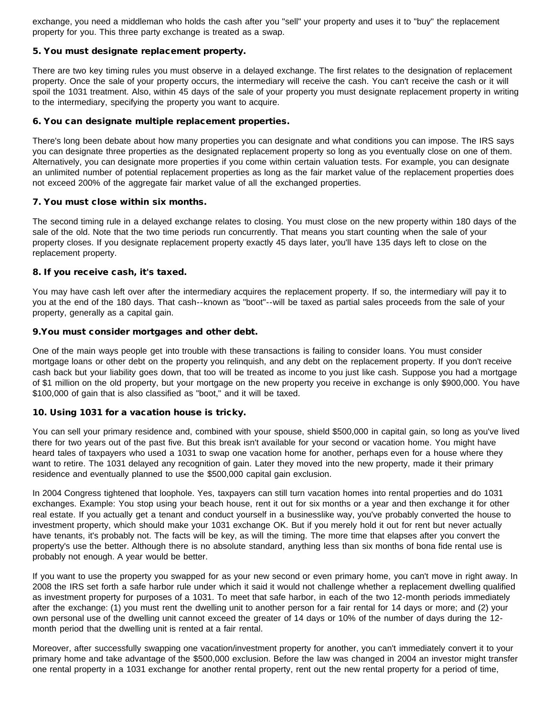exchange, you need a middleman who holds the cash after you "sell" your property and uses it to "buy" the replacement property for you. This three party exchange is treated as a swap.

# 5. You must designate replacement property.

There are two key timing rules you must observe in a delayed exchange. The first relates to the designation of replacement property. Once the sale of your property occurs, the intermediary will receive the cash. You can't receive the cash or it will spoil the 1031 treatment. Also, within 45 days of the sale of your property you must designate replacement property in writing to the intermediary, specifying the property you want to acquire.

# 6. You can designate multiple replacement properties.

There's long been debate about how many properties you can designate and what conditions you can impose. The IRS says you can designate three properties as the designated replacement property so long as you eventually close on one of them. Alternatively, you can designate more properties if you come within certain valuation tests. For example, you can designate an unlimited number of potential replacement properties as long as the fair market value of the replacement properties does not exceed 200% of the aggregate fair market value of all the exchanged properties.

# 7. You must close within six months.

The second timing rule in a delayed exchange relates to closing. You must close on the new property within 180 days of the sale of the old. Note that the two time periods run concurrently. That means you start counting when the sale of your property closes. If you designate replacement property exactly 45 days later, you'll have 135 days left to close on the replacement property.

# 8. If you receive cash, it's taxed.

You may have cash left over after the intermediary acquires the replacement property. If so, the intermediary will pay it to you at the end of the 180 days. That cash--known as "boot"--will be taxed as partial sales proceeds from the sale of your property, generally as a capital gain.

# 9.You must consider mortgages and other debt.

One of the main ways people get into trouble with these transactions is failing to consider loans. You must consider mortgage loans or other debt on the property you relinquish, and any debt on the replacement property. If you don't receive cash back but your liability goes down, that too will be treated as income to you just like cash. Suppose you had a mortgage of \$1 million on the old property, but your mortgage on the new property you receive in exchange is only \$900,000. You have \$100,000 of gain that is also classified as "boot," and it will be taxed.

# 10. Using 1031 for a vacation house is tricky.

You can sell your primary residence and, combined with your spouse, shield \$500,000 in capital gain, so long as you've lived there for two years out of the past five. But this break isn't available for your second or vacation home. You might have heard tales of taxpayers who used a 1031 to swap one vacation home for another, perhaps even for a house where they want to retire. The 1031 delayed any recognition of gain. Later they moved into the new property, made it their primary residence and eventually planned to use the \$500,000 capital gain exclusion.

In 2004 Congress tightened that loophole. Yes, taxpayers can still turn vacation homes into rental properties and do 1031 exchanges. Example: You stop using your beach house, rent it out for six months or a year and then exchange it for other real estate. If you actually get a tenant and conduct yourself in a businesslike way, you've probably converted the house to investment property, which should make your 1031 exchange OK. But if you merely hold it out for rent but never actually have tenants, it's probably not. The facts will be key, as will the timing. The more time that elapses after you convert the property's use the better. Although there is no absolute standard, anything less than six months of bona fide rental use is probably not enough. A year would be better.

If you want to use the property you swapped for as your new second or even primary home, you can't move in right away. In 2008 the IRS set forth a safe harbor rule under which it said it would not challenge whether a replacement dwelling qualified as investment property for purposes of a 1031. To meet that safe harbor, in each of the two 12-month periods immediately after the exchange: (1) you must rent the dwelling unit to another person for a fair rental for 14 days or more; and (2) your own personal use of the dwelling unit cannot exceed the greater of 14 days or 10% of the number of days during the 12 month period that the dwelling unit is rented at a fair rental.

Moreover, after successfully swapping one vacation/investment property for another, you can't immediately convert it to your primary home and take advantage of the \$500,000 exclusion. Before the law was changed in 2004 an investor might transfer one rental property in a 1031 exchange for another rental property, rent out the new rental property for a period of time,